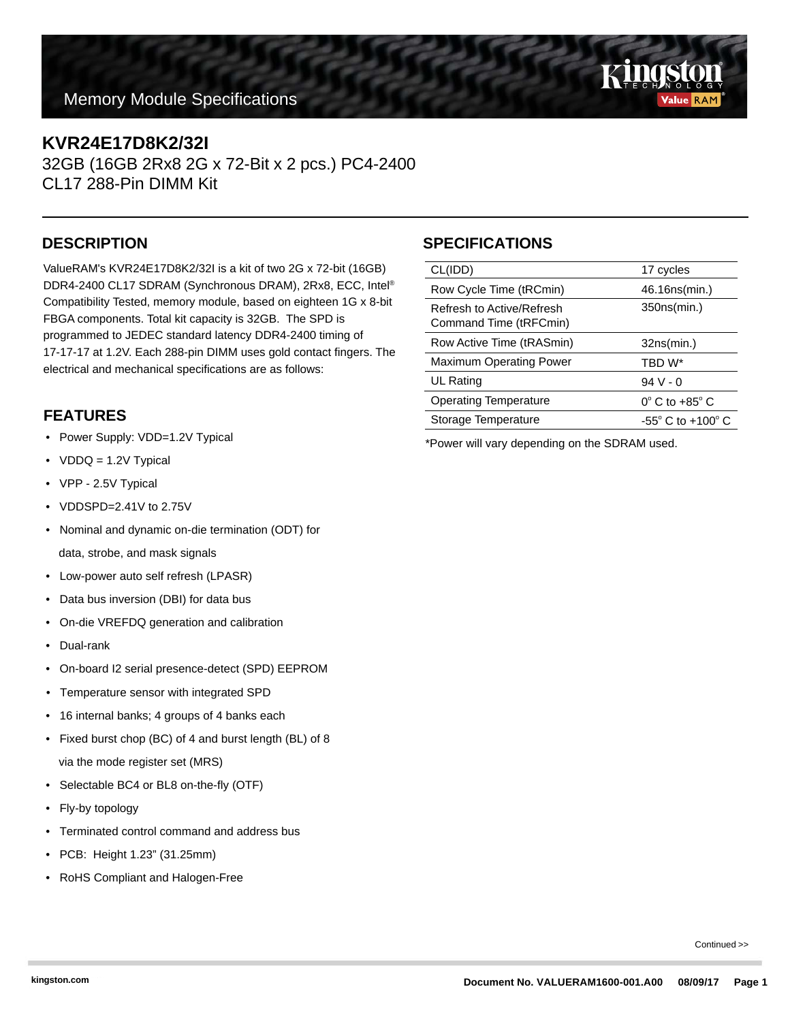### **Memory Module Specifications**

### **KVR24E17D8K2/32I**

32GB (16GB 2Rx8 2G x 72-Bit x 2 pcs.) PC4-2400 CL17 288-Pin DIMM Kit

ValueRAM's KVR24E17D8K2/32I is a kit of two 2G x 72-bit (16GB) DDR4-2400 CL17 SDRAM (Synchronous DRAM), 2Rx8, ECC, Intel® Compatibility Tested, memory module, based on eighteen 1G x 8-bit FBGA components. Total kit capacity is 32GB. The SPD is programmed to JEDEC standard latency DDR4-2400 timing of 17-17-17 at 1.2V. Each 288-pin DIMM uses gold contact fingers. The electrical and mechanical specifications are as follows:

## **FEATURES**

- Power Supply: VDD=1.2V Typical
- VDDQ = 1.2V Typical
- VPP 2.5V Typical
- VDDSPD=2.41V to 2.75V
- Nominal and dynamic on-die termination (ODT) for data, strobe, and mask signals
- Low-power auto self refresh (LPASR)
- Data bus inversion (DBI) for data bus
- On-die VREFDQ generation and calibration
- Dual-rank
- On-board I2 serial presence-detect (SPD) EEPROM
- Temperature sensor with integrated SPD
- 16 internal banks; 4 groups of 4 banks each
- Fixed burst chop (BC) of 4 and burst length (BL) of 8 via the mode register set (MRS)
- Selectable BC4 or BL8 on-the-fly (OTF)
- Fly-by topology
- Terminated control command and address bus
- PCB: Height 1.23" (31.25mm)
- RoHS Compliant and Halogen-Free

# **DESCRIPTION SPECIFICATIONS**

| CL(IDD)                                             | 17 cycles                           |
|-----------------------------------------------------|-------------------------------------|
| Row Cycle Time (tRCmin)                             | 46.16ns(min.)                       |
| Refresh to Active/Refresh<br>Command Time (tRFCmin) | 350ns(min.)                         |
| Row Active Time (tRASmin)                           | 32ns(min.)                          |
| <b>Maximum Operating Power</b>                      | TBD W*                              |
| UL Rating                                           | $94V - 0$                           |
| <b>Operating Temperature</b>                        | $0^\circ$ C to +85 $^\circ$ C       |
| Storage Temperature                                 | $-55^{\circ}$ C to $+100^{\circ}$ C |
|                                                     |                                     |

\*Power will vary depending on the SDRAM used.